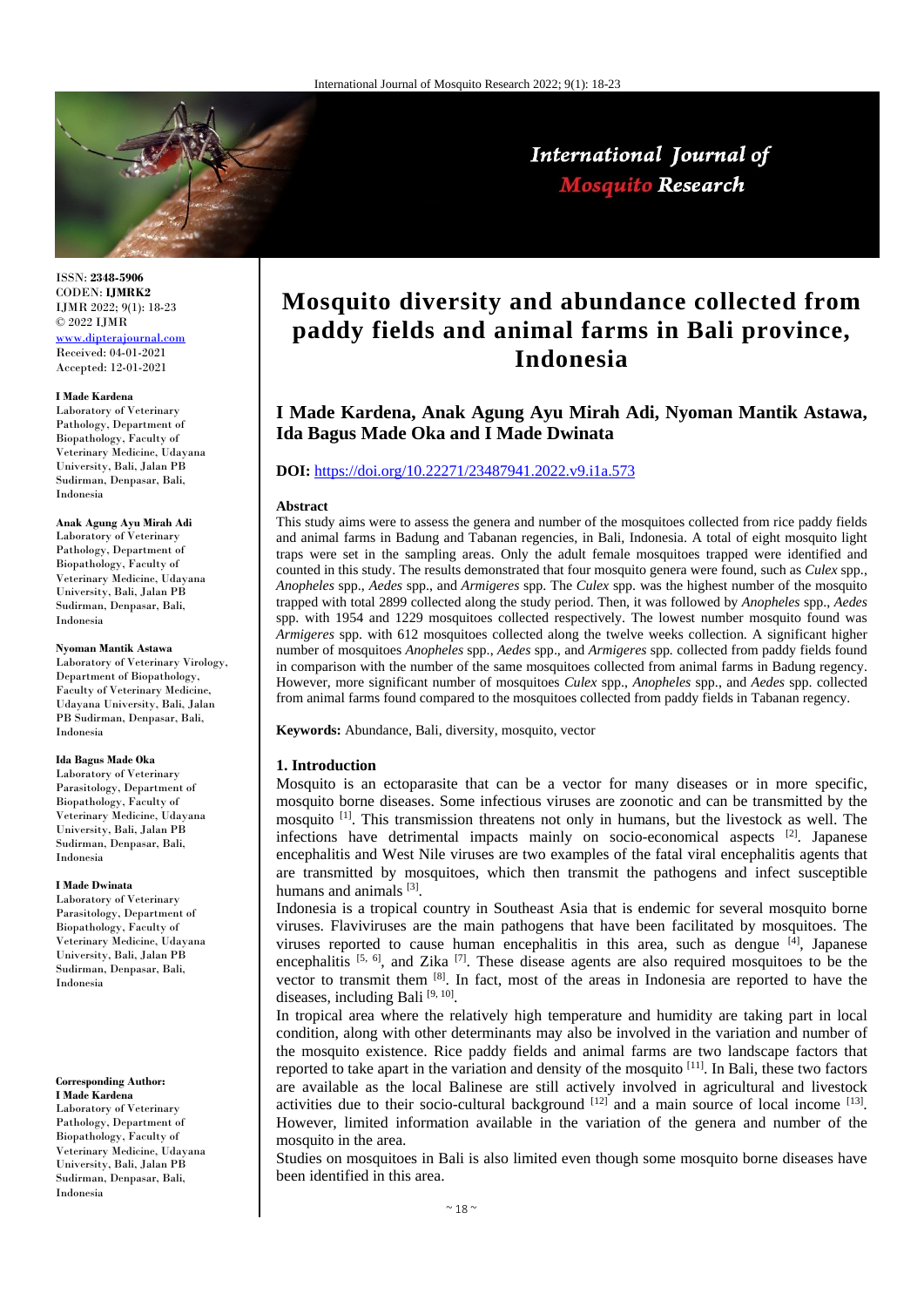

International Journal of **Mosquito Research** 

ISSN: **2348-5906** CODEN: **IJMRK2** IJMR 2022; 9(1): 18-23 © 2022 IJMR [www.dipterajournal.com](file://server/d/Mosquito/Issue/8%20Volume/www.dipterajournal.com)

Received: 04-01-2021 Accepted: 12-01-2021

### **I Made Kardena**

Laboratory of Veterinary Pathology, Department of Biopathology, Faculty of Veterinary Medicine, Udayana University, Bali, Jalan PB Sudirman, Denpasar, Bali, Indonesia

**Anak Agung Ayu Mirah Adi**

Laboratory of Veterinary Pathology, Department of Biopathology, Faculty of Veterinary Medicine, Udayana University, Bali, Jalan PB Sudirman, Denpasar, Bali, Indonesia

#### **Nyoman Mantik Astawa**

Laboratory of Veterinary Virology, Department of Biopathology, Faculty of Veterinary Medicine, Udayana University, Bali, Jalan PB Sudirman, Denpasar, Bali, Indonesia

## **Ida Bagus Made Oka**

Laboratory of Veterinary Parasitology, Department of Biopathology, Faculty of Veterinary Medicine, Udayana University, Bali, Jalan PB Sudirman, Denpasar, Bali, Indonesia

## **I Made Dwinata**

Laboratory of Veterinary Parasitology, Department of Biopathology, Faculty of Veterinary Medicine, Udayana University, Bali, Jalan PB Sudirman, Denpasar, Bali, Indonesia

## **Corresponding Author:**

**I Made Kardena** Laboratory of Veterinary Pathology, Department of Biopathology, Faculty of Veterinary Medicine, Udayana University, Bali, Jalan PB Sudirman, Denpasar, Bali, Indonesia

# **Mosquito diversity and abundance collected from paddy fields and animal farms in Bali province, Indonesia**

# **I Made Kardena, Anak Agung Ayu Mirah Adi, Nyoman Mantik Astawa, Ida Bagus Made Oka and I Made Dwinata**

# **DOI:** [https://doi.org/10.22271/23487941.2022.v9.i1a.573](https://doi.org/10.22271/23487941.2021.v8.i6a.573)

## **Abstract**

This study aims were to assess the genera and number of the mosquitoes collected from rice paddy fields and animal farms in Badung and Tabanan regencies, in Bali, Indonesia. A total of eight mosquito light traps were set in the sampling areas. Only the adult female mosquitoes trapped were identified and counted in this study. The results demonstrated that four mosquito genera were found, such as *Culex* spp., *Anopheles* spp., *Aedes* spp., and *Armigeres* spp. The *Culex* spp. was the highest number of the mosquito trapped with total 2899 collected along the study period. Then, it was followed by *Anopheles* spp., *Aedes* spp. with 1954 and 1229 mosquitoes collected respectively. The lowest number mosquito found was *Armigeres* spp. with 612 mosquitoes collected along the twelve weeks collection. A significant higher number of mosquitoes *Anopheles* spp., *Aedes* spp., and *Armigeres* spp*.* collected from paddy fields found in comparison with the number of the same mosquitoes collected from animal farms in Badung regency. However, more significant number of mosquitoes *Culex* spp., *Anopheles* spp., and *Aedes* spp. collected from animal farms found compared to the mosquitoes collected from paddy fields in Tabanan regency.

**Keywords:** Abundance, Bali, diversity, mosquito, vector

#### **1. Introduction**

Mosquito is an ectoparasite that can be a vector for many diseases or in more specific, mosquito borne diseases. Some infectious viruses are zoonotic and can be transmitted by the mosquito [1]. This transmission threatens not only in humans, but the livestock as well. The infections have detrimental impacts mainly on socio-economical aspects [2]. Japanese encephalitis and West Nile viruses are two examples of the fatal viral encephalitis agents that are transmitted by mosquitoes, which then transmit the pathogens and infect susceptible humans and animals [3].

Indonesia is a tropical country in Southeast Asia that is endemic for several mosquito borne viruses. Flaviviruses are the main pathogens that have been facilitated by mosquitoes. The viruses reported to cause human encephalitis in this area, such as dengue  $^{[4]}$ , Japanese encephalitis  $[5, 6]$ , and Zika  $[7]$ . These disease agents are also required mosquitoes to be the vector to transmit them  $[8]$ . In fact, most of the areas in Indonesia are reported to have the diseases, including Bali [9, 10].

In tropical area where the relatively high temperature and humidity are taking part in local condition, along with other determinants may also be involved in the variation and number of the mosquito existence. Rice paddy fields and animal farms are two landscape factors that reported to take apart in the variation and density of the mosquito [11]. In Bali, these two factors are available as the local Balinese are still actively involved in agricultural and livestock activities due to their socio-cultural background  $[12]$  and a main source of local income  $[13]$ . However, limited information available in the variation of the genera and number of the mosquito in the area.

Studies on mosquitoes in Bali is also limited even though some mosquito borne diseases have been identified in this area.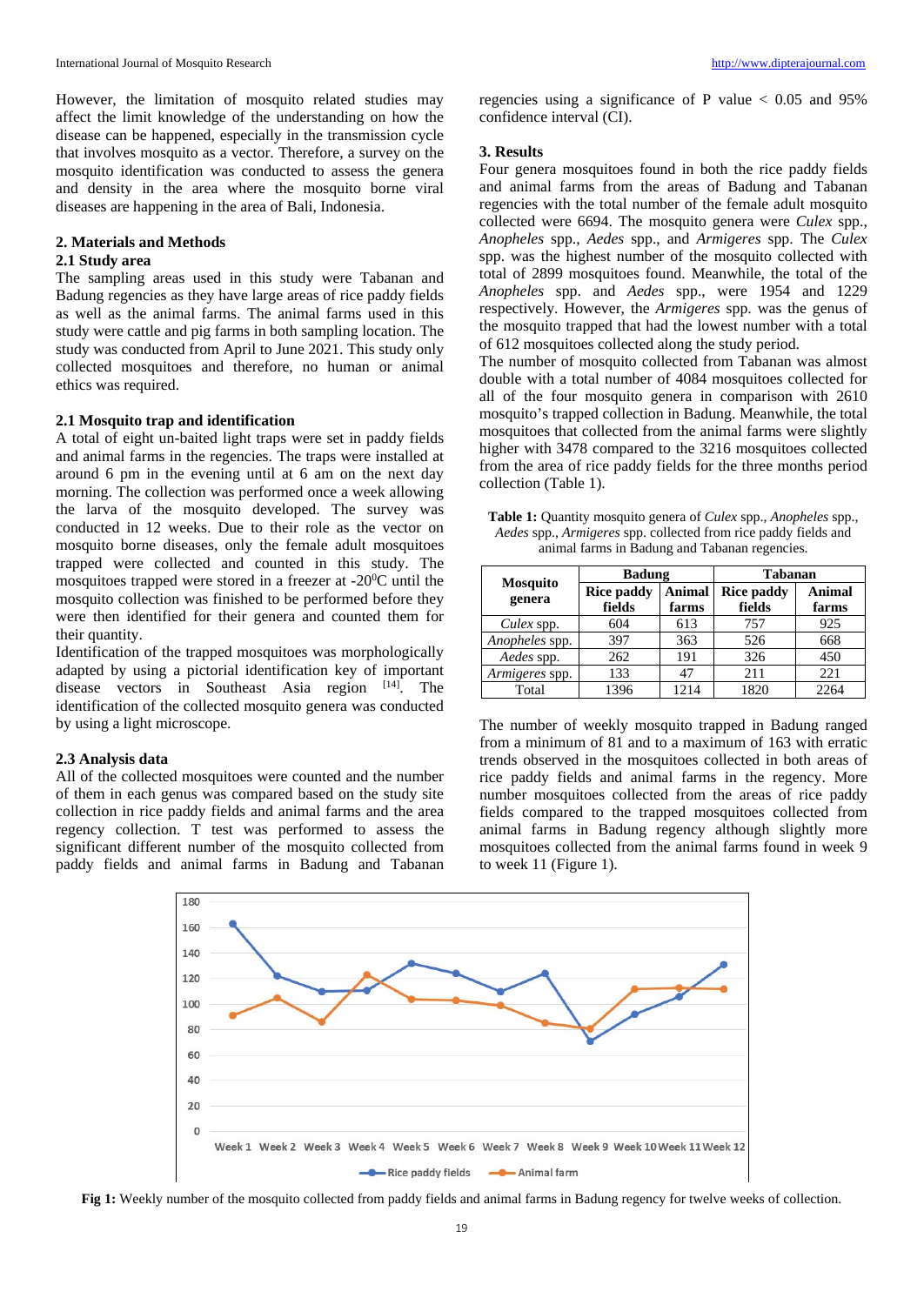However, the limitation of mosquito related studies may affect the limit knowledge of the understanding on how the disease can be happened, especially in the transmission cycle that involves mosquito as a vector. Therefore, a survey on the mosquito identification was conducted to assess the genera and density in the area where the mosquito borne viral diseases are happening in the area of Bali, Indonesia.

# **2. Materials and Methods**

# **2.1 Study area**

The sampling areas used in this study were Tabanan and Badung regencies as they have large areas of rice paddy fields as well as the animal farms. The animal farms used in this study were cattle and pig farms in both sampling location. The study was conducted from April to June 2021. This study only collected mosquitoes and therefore, no human or animal ethics was required.

# **2.1 Mosquito trap and identification**

A total of eight un-baited light traps were set in paddy fields and animal farms in the regencies. The traps were installed at around 6 pm in the evening until at 6 am on the next day morning. The collection was performed once a week allowing the larva of the mosquito developed. The survey was conducted in 12 weeks. Due to their role as the vector on mosquito borne diseases, only the female adult mosquitoes trapped were collected and counted in this study. The mosquitoes trapped were stored in a freezer at  $-20^{\circ}$ C until the mosquito collection was finished to be performed before they were then identified for their genera and counted them for their quantity.

Identification of the trapped mosquitoes was morphologically adapted by using a pictorial identification key of important disease vectors in Southeast Asia region [14]. The identification of the collected mosquito genera was conducted by using a light microscope.

# **2.3 Analysis data**

All of the collected mosquitoes were counted and the number of them in each genus was compared based on the study site collection in rice paddy fields and animal farms and the area regency collection. T test was performed to assess the significant different number of the mosquito collected from paddy fields and animal farms in Badung and Tabanan

regencies using a significance of P value  $< 0.05$  and 95% confidence interval (CI).

# **3. Results**

Four genera mosquitoes found in both the rice paddy fields and animal farms from the areas of Badung and Tabanan regencies with the total number of the female adult mosquito collected were 6694. The mosquito genera were *Culex* spp., *Anopheles* spp., *Aedes* spp., and *Armigeres* spp. The *Culex* spp. was the highest number of the mosquito collected with total of 2899 mosquitoes found. Meanwhile, the total of the *Anopheles* spp. and *Aedes* spp., were 1954 and 1229 respectively. However, the *Armigeres* spp. was the genus of the mosquito trapped that had the lowest number with a total of 612 mosquitoes collected along the study period.

The number of mosquito collected from Tabanan was almost double with a total number of 4084 mosquitoes collected for all of the four mosquito genera in comparison with 2610 mosquito's trapped collection in Badung. Meanwhile, the total mosquitoes that collected from the animal farms were slightly higher with 3478 compared to the 3216 mosquitoes collected from the area of rice paddy fields for the three months period collection (Table 1).

**Table 1:** Quantity mosquito genera of *Culex* spp., *Anopheles* spp., *Aedes* spp., *Armigeres* spp. collected from rice paddy fields and animal farms in Badung and Tabanan regencies.

| <b>Mosquito</b><br>genera | <b>Badung</b>               |                        | <b>Tabanan</b>              |                 |  |
|---------------------------|-----------------------------|------------------------|-----------------------------|-----------------|--|
|                           | <b>Rice paddy</b><br>fields | <b>Animal</b><br>farms | <b>Rice paddy</b><br>fields | Animal<br>farms |  |
| Culex spp.                | 604                         | 613                    | 757                         | 925             |  |
| Anopheles spp.            | 397                         | 363                    | 526                         | 668             |  |
| Aedes spp.                | 262                         | 191                    | 326                         | 450             |  |
| Armigeres spp.            | 133                         | 47                     | 211                         | 221             |  |
| Total                     | 1396                        | 1214                   | 1820                        | 2264            |  |

The number of weekly mosquito trapped in Badung ranged from a minimum of 81 and to a maximum of 163 with erratic trends observed in the mosquitoes collected in both areas of rice paddy fields and animal farms in the regency. More number mosquitoes collected from the areas of rice paddy fields compared to the trapped mosquitoes collected from animal farms in Badung regency although slightly more mosquitoes collected from the animal farms found in week 9 to week 11 (Figure 1).



**Fig 1:** Weekly number of the mosquito collected from paddy fields and animal farms in Badung regency for twelve weeks of collection.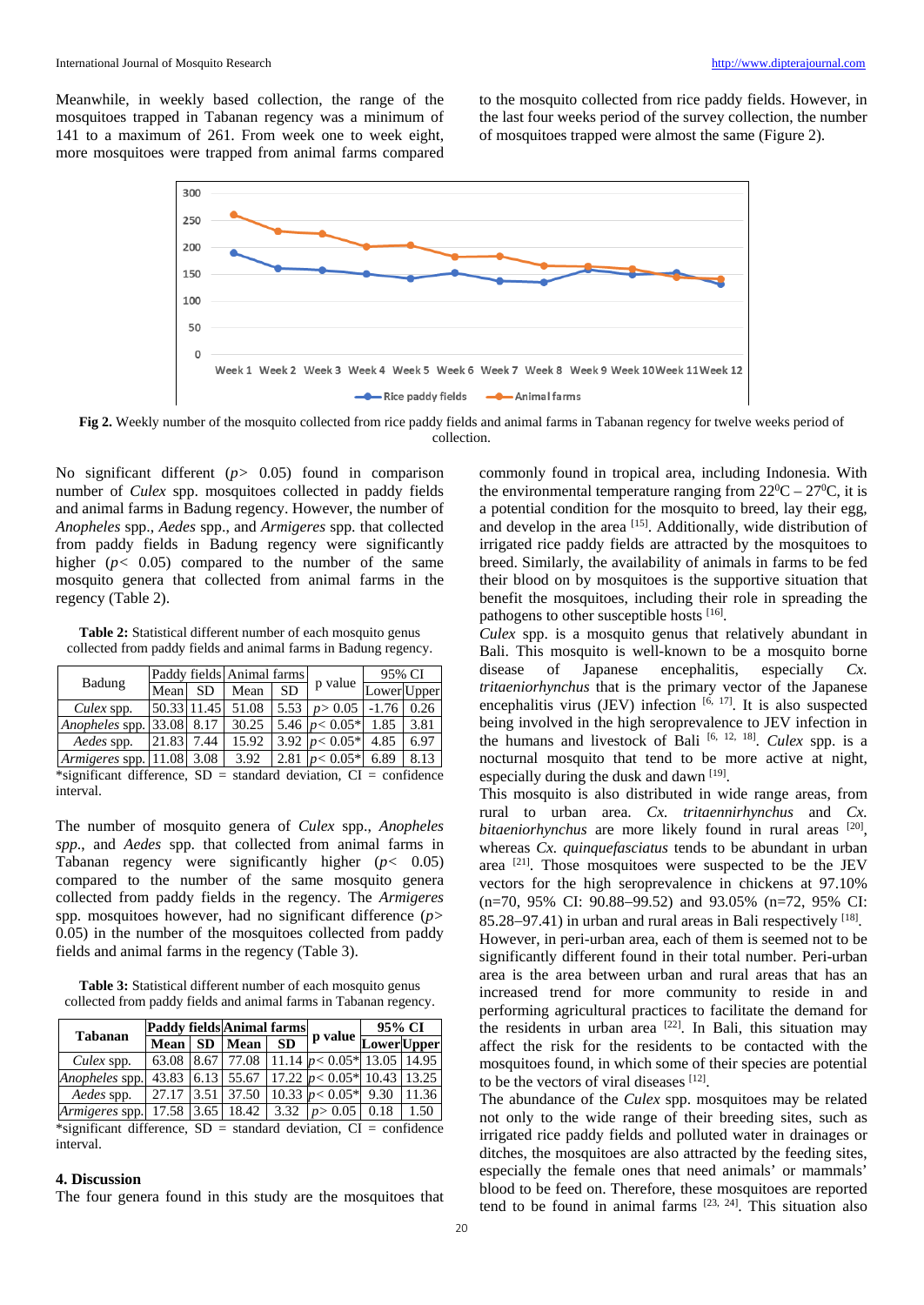Meanwhile, in weekly based collection, the range of the mosquitoes trapped in Tabanan regency was a minimum of 141 to a maximum of 261. From week one to week eight, more mosquitoes were trapped from animal farms compared to the mosquito collected from rice paddy fields. However, in the last four weeks period of the survey collection, the number of mosquitoes trapped were almost the same (Figure 2).



**Fig 2.** Weekly number of the mosquito collected from rice paddy fields and animal farms in Tabanan regency for twelve weeks period of collection.

No significant different (*p>* 0.05) found in comparison number of *Culex* spp. mosquitoes collected in paddy fields and animal farms in Badung regency. However, the number of *Anopheles* spp., *Aedes* spp., and *Armigeres* spp. that collected from paddy fields in Badung regency were significantly higher  $(p< 0.05)$  compared to the number of the same mosquito genera that collected from animal farms in the regency (Table 2).

**Table 2:** Statistical different number of each mosquito genus collected from paddy fields and animal farms in Badung regency.

| Badung                         |             |                      | Paddy fields Animal farms |           |                                   | 95% CI      |          |
|--------------------------------|-------------|----------------------|---------------------------|-----------|-----------------------------------|-------------|----------|
|                                | Mean        | SD.                  | Mean                      | <b>SD</b> | p value                           | Lower Upper |          |
| Culex spp.                     | 50.33 11.45 |                      | 51.08                     |           | $5.53$   $p > 0.05$   -1.76       |             | 0.26     |
| Anopheles spp. 33.08 8.17      |             |                      | 30.25                     |           | 5.46 $p < 0.05*$ 1.85             |             | 3.81     |
| Aedes spp.                     | 21.83       | 7.44                 | 15.92                     |           | 3.92 $p < 0.05*$                  | 4.85        | 6.97     |
| Armigeres spp. 11.08           |             | 3.08                 | 3.92                      |           | 2.81 $p < 0.05*$                  | 6.89        | 8.13     |
| $\omega$ . $\omega$ . $\omega$ |             | $\sim$ $\sim$ $\sim$ |                           |           | $\sim$ 1 1 1 $\sim$ $\sim$ $\sim$ |             | $\sim$ 1 |

\*significant difference,  $SD = standard deviation$ ,  $CI = confidence$ interval.

The number of mosquito genera of *Culex* spp., *Anopheles spp*., and *Aedes* spp. that collected from animal farms in Tabanan regency were significantly higher (*p<* 0.05) compared to the number of the same mosquito genera collected from paddy fields in the regency. The *Armigeres*  spp. mosquitoes however, had no significant difference (*p>* 0.05) in the number of the mosquitoes collected from paddy fields and animal farms in the regency (Table 3).

**Table 3:** Statistical different number of each mosquito genus collected from paddy fields and animal farms in Tabanan regency.

| <b>Tabanan</b>                  |        |  | Paddy fields Animal farms |           |                                                          | 95% CI |      |
|---------------------------------|--------|--|---------------------------|-----------|----------------------------------------------------------|--------|------|
|                                 | Mean ! |  | SD   Mean                 | <b>SD</b> | 1 p value Lower Upper                                    |        |      |
| Culex spp.                      |        |  |                           |           | 63.08   8.67   77.08   11.14 $p < 0.05*$   13.05   14.95 |        |      |
| Anopheles spp.                  | 43.83  |  |                           |           | 6.13 55.67 17.22 $p < 0.05*$ 10.43 13.25                 |        |      |
| Aedes spp.                      |        |  |                           |           | 27.17   3.51   37.50   10.33 $p < 0.05*$   9.30   11.36  |        |      |
| Armigeres spp. 17.58 3.65 18.42 |        |  |                           |           | 3.32 $ p>0.05 $                                          | 0.18   | 1.50 |

\*significant difference,  $SD = standard deviation$ ,  $CI = confidence$ interval.

# **4. Discussion**

The four genera found in this study are the mosquitoes that

commonly found in tropical area, including Indonesia. With the environmental temperature ranging from  $22^0C - 27^0C$ , it is a potential condition for the mosquito to breed, lay their egg, and develop in the area [15]. Additionally, wide distribution of irrigated rice paddy fields are attracted by the mosquitoes to breed. Similarly, the availability of animals in farms to be fed their blood on by mosquitoes is the supportive situation that benefit the mosquitoes, including their role in spreading the pathogens to other susceptible hosts [16].

*Culex* spp. is a mosquito genus that relatively abundant in Bali. This mosquito is well-known to be a mosquito borne disease of Japanese encephalitis, especially *Cx. tritaeniorhynchus* that is the primary vector of the Japanese encephalitis virus  $(JEV)$  infection  $[6, 17]$ . It is also suspected being involved in the high seroprevalence to JEV infection in the humans and livestock of Bali [6, 12, 18]. *Culex* spp. is a nocturnal mosquito that tend to be more active at night, especially during the dusk and dawn [19].

This mosquito is also distributed in wide range areas, from rural to urban area. *Cx. tritaennirhynchus* and *Cx. bitaeniorhynchus* are more likely found in rural areas [20], whereas *Cx. quinquefasciatus* tends to be abundant in urban area  $[21]$ . Those mosquitoes were suspected to be the JEV vectors for the high seroprevalence in chickens at 97.10% (n=70, 95% CI: 90.88−99.52) and 93.05% (n=72, 95% CI: 85.28−97.41) in urban and rural areas in Bali respectively [18]. However, in peri-urban area, each of them is seemed not to be significantly different found in their total number. Peri-urban area is the area between urban and rural areas that has an increased trend for more community to reside in and performing agricultural practices to facilitate the demand for the residents in urban area  $[22]$ . In Bali, this situation may affect the risk for the residents to be contacted with the mosquitoes found, in which some of their species are potential to be the vectors of viral diseases  $[12]$ .

The abundance of the *Culex* spp. mosquitoes may be related not only to the wide range of their breeding sites, such as irrigated rice paddy fields and polluted water in drainages or ditches, the mosquitoes are also attracted by the feeding sites, especially the female ones that need animals' or mammals' blood to be feed on. Therefore, these mosquitoes are reported tend to be found in animal farms [23, 24]. This situation also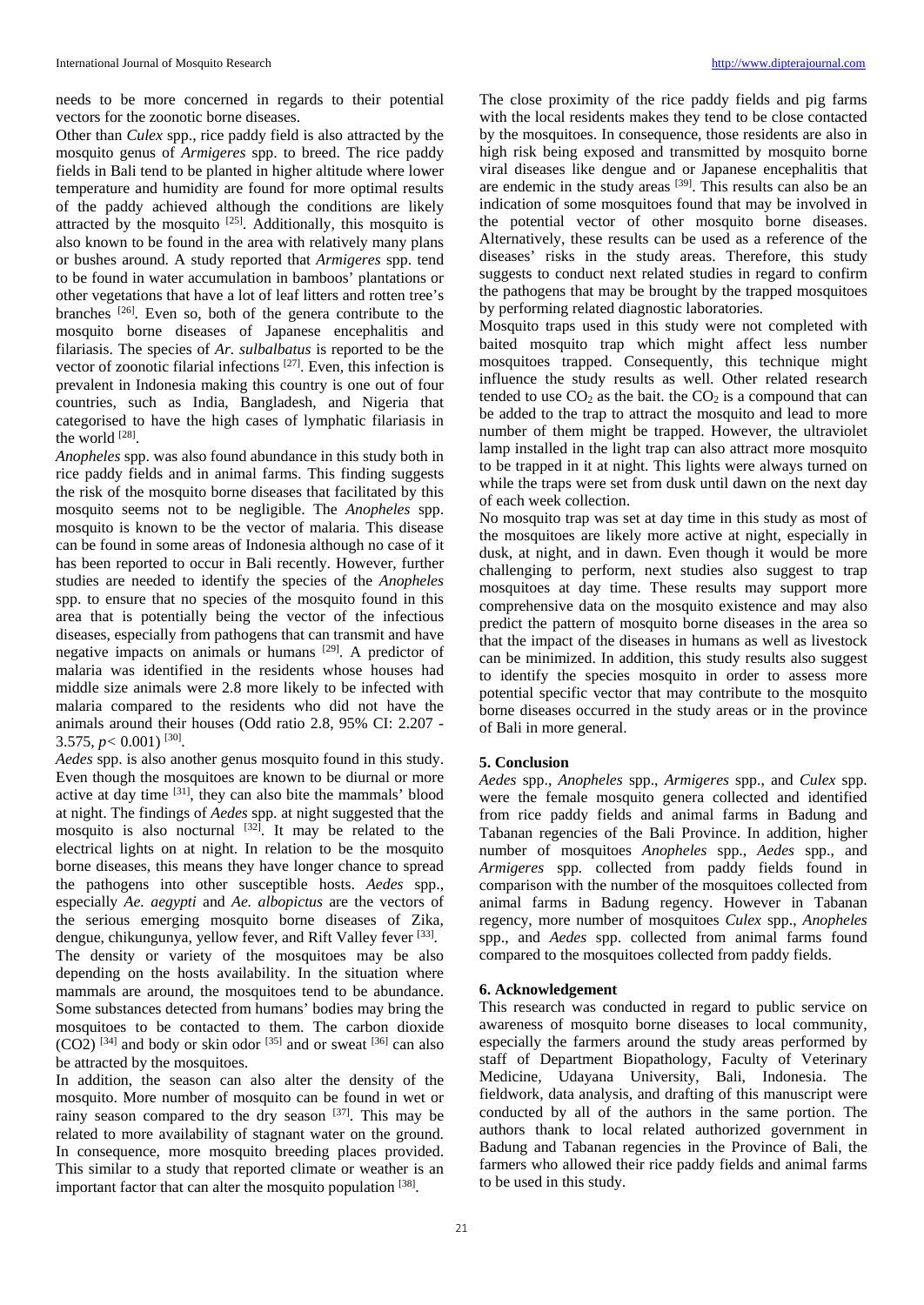needs to be more concerned in regards to their potential vectors for the zoonotic borne diseases.

Other than *Culex* spp., rice paddy field is also attracted by the mosquito genus of *Armigeres* spp. to breed. The rice paddy fields in Bali tend to be planted in higher altitude where lower temperature and humidity are found for more optimal results of the paddy achieved although the conditions are likely attracted by the mosquito  $[25]$ . Additionally, this mosquito is also known to be found in the area with relatively many plans or bushes around. A study reported that *Armigeres* spp. tend to be found in water accumulation in bamboos' plantations or other vegetations that have a lot of leaf litters and rotten tree's branches [26]. Even so, both of the genera contribute to the mosquito borne diseases of Japanese encephalitis and filariasis. The species of *Ar. sulbalbatus* is reported to be the vector of zoonotic filarial infections [27]. Even, this infection is prevalent in Indonesia making this country is one out of four countries, such as India, Bangladesh, and Nigeria that categorised to have the high cases of lymphatic filariasis in the world [28].

*Anopheles* spp. was also found abundance in this study both in rice paddy fields and in animal farms. This finding suggests the risk of the mosquito borne diseases that facilitated by this mosquito seems not to be negligible. The *Anopheles* spp. mosquito is known to be the vector of malaria. This disease can be found in some areas of Indonesia although no case of it has been reported to occur in Bali recently. However, further studies are needed to identify the species of the *Anopheles* spp. to ensure that no species of the mosquito found in this area that is potentially being the vector of the infectious diseases, especially from pathogens that can transmit and have negative impacts on animals or humans [29]. A predictor of malaria was identified in the residents whose houses had middle size animals were 2.8 more likely to be infected with malaria compared to the residents who did not have the animals around their houses (Odd ratio 2.8, 95% CI: 2.207 - 3.575,  $p < 0.001$ ) <sup>[30]</sup>.

*Aedes* spp. is also another genus mosquito found in this study. Even though the mosquitoes are known to be diurnal or more active at day time [31], they can also bite the mammals' blood at night. The findings of *Aedes* spp. at night suggested that the mosquito is also nocturnal  $[32]$ . It may be related to the electrical lights on at night. In relation to be the mosquito borne diseases, this means they have longer chance to spread the pathogens into other susceptible hosts. *Aedes* spp., especially *Ae. aegypti* and *Ae. albopictus* are the vectors of the serious emerging mosquito borne diseases of Zika, dengue, chikungunya, yellow fever, and Rift Valley fever <sup>[33]</sup>. The density or variety of the mosquitoes may be also depending on the hosts availability. In the situation where mammals are around, the mosquitoes tend to be abundance. Some substances detected from humans' bodies may bring the mosquitoes to be contacted to them. The carbon dioxide  $(CO2)$  <sup>[34]</sup> and body or skin odor <sup>[35]</sup> and or sweat <sup>[36]</sup> can also be attracted by the mosquitoes.

In addition, the season can also alter the density of the mosquito. More number of mosquito can be found in wet or rainy season compared to the dry season [37]. This may be related to more availability of stagnant water on the ground. In consequence, more mosquito breeding places provided. This similar to a study that reported climate or weather is an important factor that can alter the mosquito population [38].

The close proximity of the rice paddy fields and pig farms with the local residents makes they tend to be close contacted by the mosquitoes. In consequence, those residents are also in high risk being exposed and transmitted by mosquito borne viral diseases like dengue and or Japanese encephalitis that are endemic in the study areas  $[39]$ . This results can also be an indication of some mosquitoes found that may be involved in the potential vector of other mosquito borne diseases. Alternatively, these results can be used as a reference of the diseases' risks in the study areas. Therefore, this study suggests to conduct next related studies in regard to confirm the pathogens that may be brought by the trapped mosquitoes by performing related diagnostic laboratories.

Mosquito traps used in this study were not completed with baited mosquito trap which might affect less number mosquitoes trapped. Consequently, this technique might influence the study results as well. Other related research tended to use  $CO<sub>2</sub>$  as the bait. the  $CO<sub>2</sub>$  is a compound that can be added to the trap to attract the mosquito and lead to more number of them might be trapped. However, the ultraviolet lamp installed in the light trap can also attract more mosquito to be trapped in it at night. This lights were always turned on while the traps were set from dusk until dawn on the next day of each week collection.

No mosquito trap was set at day time in this study as most of the mosquitoes are likely more active at night, especially in dusk, at night, and in dawn. Even though it would be more challenging to perform, next studies also suggest to trap mosquitoes at day time. These results may support more comprehensive data on the mosquito existence and may also predict the pattern of mosquito borne diseases in the area so that the impact of the diseases in humans as well as livestock can be minimized. In addition, this study results also suggest to identify the species mosquito in order to assess more potential specific vector that may contribute to the mosquito borne diseases occurred in the study areas or in the province of Bali in more general.

# **5. Conclusion**

*Aedes* spp., *Anopheles* spp., *Armigeres* spp., and *Culex* spp. were the female mosquito genera collected and identified from rice paddy fields and animal farms in Badung and Tabanan regencies of the Bali Province. In addition, higher number of mosquitoes *Anopheles* spp., *Aedes* spp., and *Armigeres* spp*.* collected from paddy fields found in comparison with the number of the mosquitoes collected from animal farms in Badung regency. However in Tabanan regency, more number of mosquitoes *Culex* spp., *Anopheles*  spp., and *Aedes* spp. collected from animal farms found compared to the mosquitoes collected from paddy fields.

# **6. Acknowledgement**

This research was conducted in regard to public service on awareness of mosquito borne diseases to local community, especially the farmers around the study areas performed by staff of Department Biopathology, Faculty of Veterinary Medicine, Udayana University, Bali, Indonesia. The fieldwork, data analysis, and drafting of this manuscript were conducted by all of the authors in the same portion. The authors thank to local related authorized government in Badung and Tabanan regencies in the Province of Bali, the farmers who allowed their rice paddy fields and animal farms to be used in this study.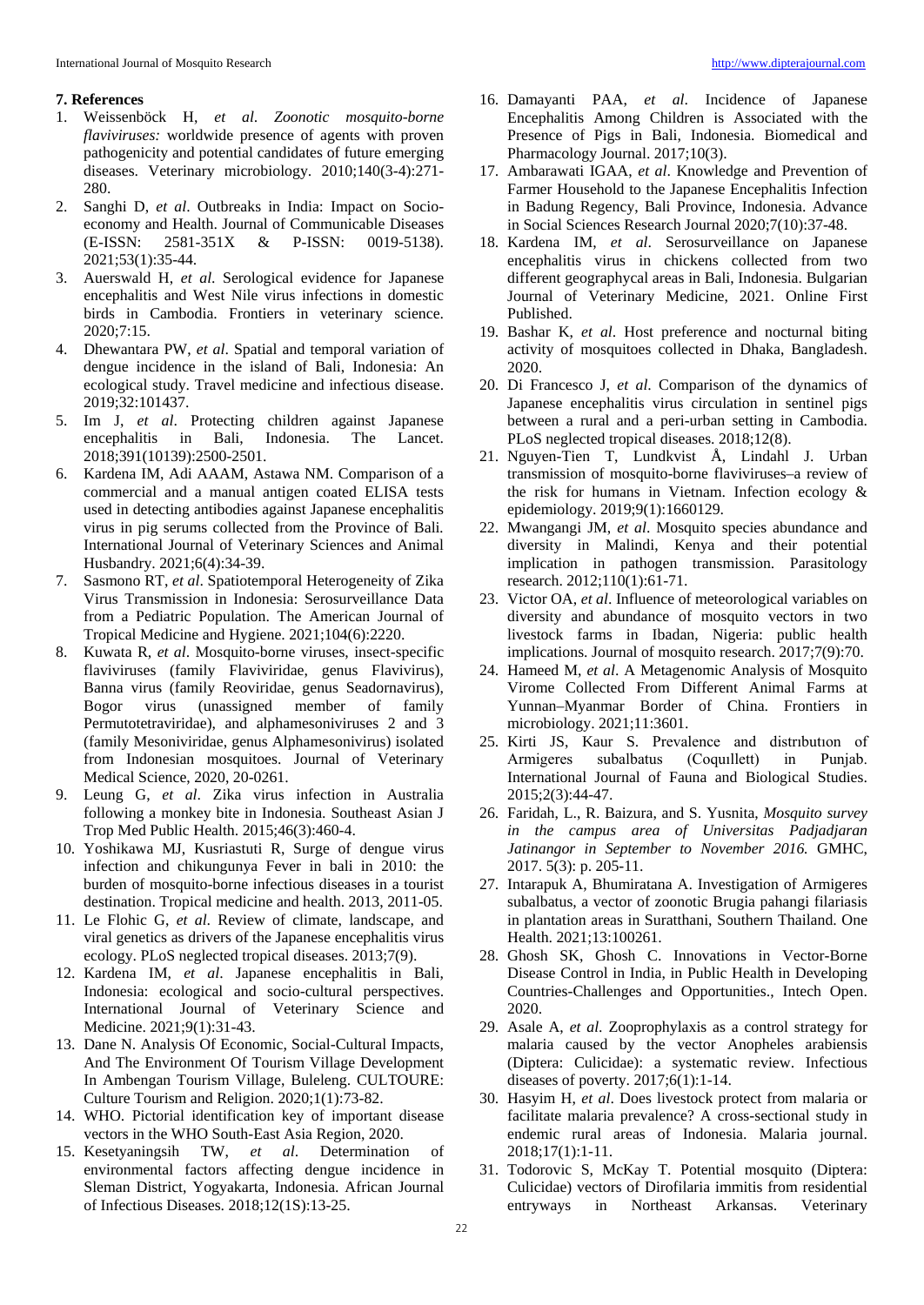# **7. References**

- 1. Weissenböck H, *et al*. *Zoonotic mosquito-borne flaviviruses:* worldwide presence of agents with proven pathogenicity and potential candidates of future emerging diseases. Veterinary microbiology. 2010;140(3-4):271- 280.
- 2. Sanghi D, *et al*. Outbreaks in India: Impact on Socioeconomy and Health. Journal of Communicable Diseases (E-ISSN: 2581-351X & P-ISSN: 0019-5138). 2021;53(1):35-44.
- 3. Auerswald H, *et al*. Serological evidence for Japanese encephalitis and West Nile virus infections in domestic birds in Cambodia. Frontiers in veterinary science. 2020;7:15.
- 4. Dhewantara PW, *et al*. Spatial and temporal variation of dengue incidence in the island of Bali, Indonesia: An ecological study. Travel medicine and infectious disease. 2019;32:101437.
- 5. Im J, *et al*. Protecting children against Japanese encephalitis in Bali, Indonesia. The Lancet. 2018;391(10139):2500-2501.
- 6. Kardena IM, Adi AAAM, Astawa NM. Comparison of a commercial and a manual antigen coated ELISA tests used in detecting antibodies against Japanese encephalitis virus in pig serums collected from the Province of Bali*.* International Journal of Veterinary Sciences and Animal Husbandry. 2021;6(4):34-39.
- 7. Sasmono RT, *et al*. Spatiotemporal Heterogeneity of Zika Virus Transmission in Indonesia: Serosurveillance Data from a Pediatric Population. The American Journal of Tropical Medicine and Hygiene. 2021;104(6):2220.
- 8. Kuwata R, *et al*. Mosquito-borne viruses, insect-specific flaviviruses (family Flaviviridae, genus Flavivirus), Banna virus (family Reoviridae, genus Seadornavirus), Bogor virus (unassigned member of family Permutotetraviridae), and alphamesoniviruses 2 and 3 (family Mesoniviridae, genus Alphamesonivirus) isolated from Indonesian mosquitoes. Journal of Veterinary Medical Science, 2020, 20-0261.
- 9. Leung G, *et al*. Zika virus infection in Australia following a monkey bite in Indonesia. Southeast Asian J Trop Med Public Health. 2015;46(3):460-4.
- 10. Yoshikawa MJ, Kusriastuti R, Surge of dengue virus infection and chikungunya Fever in bali in 2010: the burden of mosquito-borne infectious diseases in a tourist destination. Tropical medicine and health. 2013, 2011-05.
- 11. Le Flohic G, *et al*. Review of climate, landscape, and viral genetics as drivers of the Japanese encephalitis virus ecology. PLoS neglected tropical diseases. 2013;7(9).
- 12. Kardena IM, *et al*. Japanese encephalitis in Bali, Indonesia: ecological and socio-cultural perspectives. International Journal of Veterinary Science and Medicine. 2021;9(1):31-43.
- 13. Dane N. Analysis Of Economic, Social-Cultural Impacts, And The Environment Of Tourism Village Development In Ambengan Tourism Village, Buleleng. CULTOURE: Culture Tourism and Religion. 2020;1(1):73-82.
- 14. WHO. Pictorial identification key of important disease vectors in the WHO South-East Asia Region, 2020.
- 15. Kesetyaningsih TW, *et al*. Determination of environmental factors affecting dengue incidence in Sleman District, Yogyakarta, Indonesia. African Journal of Infectious Diseases. 2018;12(1S):13-25.
- 16. Damayanti PAA, *et al*. Incidence of Japanese Encephalitis Among Children is Associated with the Presence of Pigs in Bali, Indonesia. Biomedical and Pharmacology Journal. 2017;10(3).
- 17. Ambarawati IGAA, *et al*. Knowledge and Prevention of Farmer Household to the Japanese Encephalitis Infection in Badung Regency, Bali Province, Indonesia. Advance in Social Sciences Research Journal 2020;7(10):37-48.
- 18. Kardena IM, *et al*. Serosurveillance on Japanese encephalitis virus in chickens collected from two different geographycal areas in Bali, Indonesia. Bulgarian Journal of Veterinary Medicine, 2021. Online First Published.
- 19. Bashar K, *et al*. Host preference and nocturnal biting activity of mosquitoes collected in Dhaka, Bangladesh. 2020.
- 20. Di Francesco J, *et al*. Comparison of the dynamics of Japanese encephalitis virus circulation in sentinel pigs between a rural and a peri-urban setting in Cambodia. PLoS neglected tropical diseases. 2018;12(8).
- 21. Nguyen-Tien T, Lundkvist Å, Lindahl J. Urban transmission of mosquito-borne flaviviruses–a review of the risk for humans in Vietnam. Infection ecology & epidemiology. 2019;9(1):1660129.
- 22. Mwangangi JM, *et al*. Mosquito species abundance and diversity in Malindi, Kenya and their potential implication in pathogen transmission. Parasitology research. 2012;110(1):61-71.
- 23. Victor OA, *et al*. Influence of meteorological variables on diversity and abundance of mosquito vectors in two livestock farms in Ibadan, Nigeria: public health implications. Journal of mosquito research. 2017;7(9):70.
- 24. Hameed M, *et al*. A Metagenomic Analysis of Mosquito Virome Collected From Different Animal Farms at Yunnan–Myanmar Border of China. Frontiers in microbiology. 2021;11:3601.
- 25. Kirti JS, Kaur S. Prevalence and distrıbutıon of Armigeres subalbatus (Coquıllett) in Punjab. International Journal of Fauna and Biological Studies. 2015;2(3):44-47.
- 26. Faridah, L., R. Baizura, and S. Yusnita, *Mosquito survey in the campus area of Universitas Padjadjaran Jatinangor in September to November 2016.* GMHC, 2017. 5(3): p. 205-11.
- 27. Intarapuk A, Bhumiratana A. Investigation of Armigeres subalbatus, a vector of zoonotic Brugia pahangi filariasis in plantation areas in Suratthani, Southern Thailand. One Health. 2021;13:100261.
- 28. Ghosh SK, Ghosh C. Innovations in Vector-Borne Disease Control in India, in Public Health in Developing Countries-Challenges and Opportunities., Intech Open. 2020.
- 29. Asale A, *et al*. Zooprophylaxis as a control strategy for malaria caused by the vector Anopheles arabiensis (Diptera: Culicidae): a systematic review. Infectious diseases of poverty. 2017;6(1):1-14.
- 30. Hasyim H, *et al*. Does livestock protect from malaria or facilitate malaria prevalence? A cross-sectional study in endemic rural areas of Indonesia. Malaria journal. 2018;17(1):1-11.
- 31. Todorovic S, McKay T. Potential mosquito (Diptera: Culicidae) vectors of Dirofilaria immitis from residential entryways in Northeast Arkansas. Veterinary